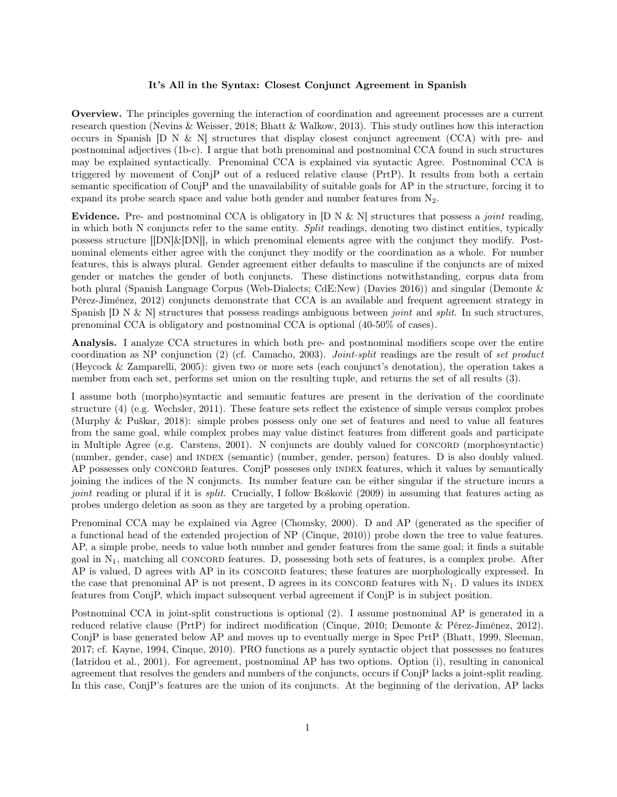## It's All in the Syntax: Closest Conjunct Agreement in Spanish

Overview. The principles governing the interaction of coordination and agreement processes are a current research question (Nevins & Weisser, 2018; Bhatt & Walkow, 2013). This study outlines how this interaction occurs in Spanish  $[D N & N]$  structures that display closest conjunct agreement (CCA) with pre- and postnominal adjectives (1b-c). I argue that both prenominal and postnominal CCA found in such structures may be explained syntactically. Prenominal CCA is explained via syntactic Agree. Postnominal CCA is triggered by movement of ConjP out of a reduced relative clause (PrtP). It results from both a certain semantic specification of ConjP and the unavailability of suitable goals for AP in the structure, forcing it to expand its probe search space and value both gender and number features from N2.

Evidence. Pre- and postnominal CCA is obligatory in  $[D N & N]$  structures that possess a *joint* reading, in which both N conjuncts refer to the same entity. Split readings, denoting two distinct entities, typically possess structure  $\text{[DN]}\&\text{[DN]}$ , in which prenominal elements agree with the conjunct they modify. Postnominal elements either agree with the conjunct they modify or the coordination as a whole. For number features, this is always plural. Gender agreement either defaults to masculine if the conjuncts are of mixed gender or matches the gender of both conjuncts. These distinctions notwithstanding, corpus data from both plural (Spanish Language Corpus (Web-Dialects; CdE:New) (Davies 2016)) and singular (Demonte & Pérez-Jiménez, 2012) conjuncts demonstrate that CCA is an available and frequent agreement strategy in Spanish  $[D \ N \& N]$  structures that possess readings ambiguous between *joint* and *split*. In such structures, prenominal CCA is obligatory and postnominal CCA is optional (40-50% of cases).

Analysis. I analyze CCA structures in which both pre- and postnominal modifiers scope over the entire coordination as NP conjunction (2) (cf. Camacho, 2003). Joint-split readings are the result of set product (Heycock & Zamparelli, 2005): given two or more sets (each conjunct's denotation), the operation takes a member from each set, performs set union on the resulting tuple, and returns the set of all results (3).

I assume both (morpho)syntactic and semantic features are present in the derivation of the coordinate structure (4) (e.g. Wechsler, 2011). These feature sets reflect the existence of simple versus complex probes (Murphy & Puškar, 2018): simple probes possess only one set of features and need to value all features from the same goal, while complex probes may value distinct features from different goals and participate in Multiple Agree (e.g. Carstens, 2001). N conjuncts are doubly valued for CONCORD (morphosyntactic) (number, gender, case) and index (semantic) (number, gender, person) features. D is also doubly valued. AP possesses only CONCORD features. ConjP posseses only INDEX features, which it values by semantically joining the indices of the N conjuncts. Its number feature can be either singular if the structure incurs a joint reading or plural if it is *split*. Crucially, I follow Bošković (2009) in assuming that features acting as probes undergo deletion as soon as they are targeted by a probing operation.

Prenominal CCA may be explained via Agree (Chomsky, 2000). D and AP (generated as the specifier of a functional head of the extended projection of NP (Cinque, 2010)) probe down the tree to value features. AP, a simple probe, needs to value both number and gender features from the same goal; it finds a suitable goal in  $N_1$ , matching all CONCORD features. D, possessing both sets of features, is a complex probe. After AP is valued, D agrees with AP in its CONCORD features; these features are morphologically expressed. In the case that prenominal AP is not present, D agrees in its CONCORD features with  $N_1$ . D values its INDEX features from ConjP, which impact subsequent verbal agreement if ConjP is in subject position.

Postnominal CCA in joint-split constructions is optional (2). I assume postnominal AP is generated in a reduced relative clause (PrtP) for indirect modification (Cinque, 2010; Demonte & Pérez-Jiménez, 2012). ConjP is base generated below AP and moves up to eventually merge in Spec PrtP (Bhatt, 1999, Sleeman, 2017; cf. Kayne, 1994, Cinque, 2010). PRO functions as a purely syntactic object that possesses no features (Iatridou et al., 2001). For agreement, postnominal AP has two options. Option (i), resulting in canonical agreement that resolves the genders and numbers of the conjuncts, occurs if ConjP lacks a joint-split reading. In this case, ConjP's features are the union of its conjuncts. At the beginning of the derivation, AP lacks